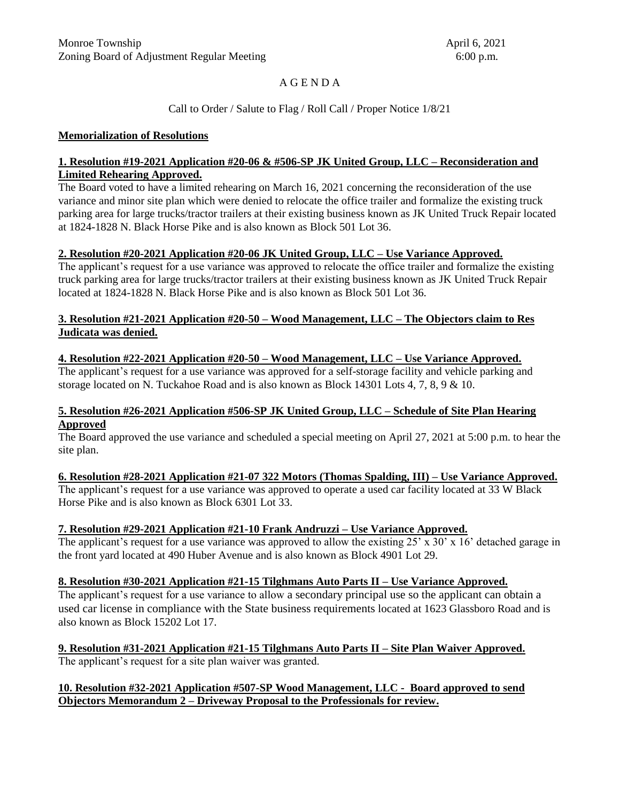# A G E N D A

## Call to Order / Salute to Flag / Roll Call / Proper Notice 1/8/21

#### **Memorialization of Resolutions**

#### **1. Resolution #19-2021 Application #20-06 & #506-SP JK United Group, LLC – Reconsideration and Limited Rehearing Approved.**

The Board voted to have a limited rehearing on March 16, 2021 concerning the reconsideration of the use variance and minor site plan which were denied to relocate the office trailer and formalize the existing truck parking area for large trucks/tractor trailers at their existing business known as JK United Truck Repair located at 1824-1828 N. Black Horse Pike and is also known as Block 501 Lot 36.

#### **2. Resolution #20-2021 Application #20-06 JK United Group, LLC – Use Variance Approved.**

The applicant's request for a use variance was approved to relocate the office trailer and formalize the existing truck parking area for large trucks/tractor trailers at their existing business known as JK United Truck Repair located at 1824-1828 N. Black Horse Pike and is also known as Block 501 Lot 36.

## **3. Resolution #21-2021 Application #20-50 – Wood Management, LLC – The Objectors claim to Res Judicata was denied.**

## **4. Resolution #22-2021 Application #20-50 – Wood Management, LLC – Use Variance Approved.**

The applicant's request for a use variance was approved for a self-storage facility and vehicle parking and storage located on N. Tuckahoe Road and is also known as Block 14301 Lots 4, 7, 8, 9 & 10.

#### **5. Resolution #26-2021 Application #506-SP JK United Group, LLC – Schedule of Site Plan Hearing Approved**

The Board approved the use variance and scheduled a special meeting on April 27, 2021 at 5:00 p.m. to hear the site plan.

#### **6. Resolution #28-2021 Application #21-07 322 Motors (Thomas Spalding, III) – Use Variance Approved.**

The applicant's request for a use variance was approved to operate a used car facility located at 33 W Black Horse Pike and is also known as Block 6301 Lot 33.

#### **7. Resolution #29-2021 Application #21-10 Frank Andruzzi – Use Variance Approved.**

The applicant's request for a use variance was approved to allow the existing  $25' \times 30' \times 16'$  detached garage in the front yard located at 490 Huber Avenue and is also known as Block 4901 Lot 29.

#### **8. Resolution #30-2021 Application #21-15 Tilghmans Auto Parts II – Use Variance Approved.**

The applicant's request for a use variance to allow a secondary principal use so the applicant can obtain a used car license in compliance with the State business requirements located at 1623 Glassboro Road and is also known as Block 15202 Lot 17.

# **9. Resolution #31-2021 Application #21-15 Tilghmans Auto Parts II – Site Plan Waiver Approved.**

The applicant's request for a site plan waiver was granted.

## **10. Resolution #32-2021 Application #507-SP Wood Management, LLC - Board approved to send Objectors Memorandum 2 – Driveway Proposal to the Professionals for review.**